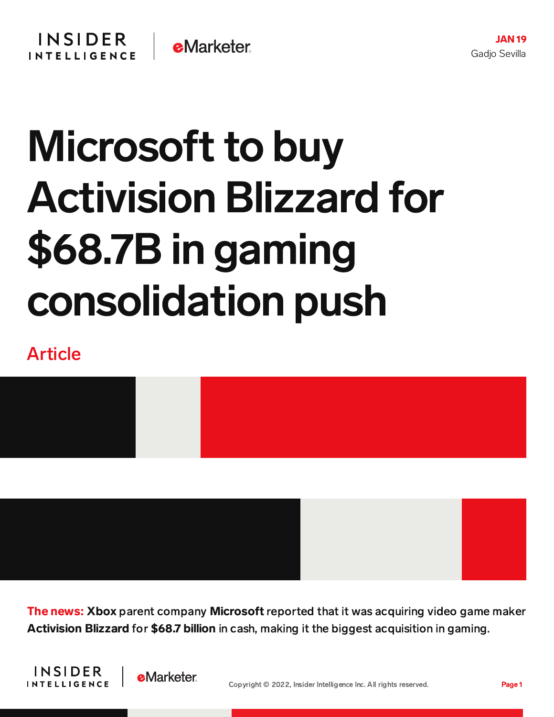## Microsoft to buy Activision Blizzard for \$68.7B in gaming consolidation push

## Article



The news: Xbox parent company Microsoft reported that it was acquiring video game maker Activision Blizzard for \$68.7 billion in cash, making it the biggest acquisition in gaming.